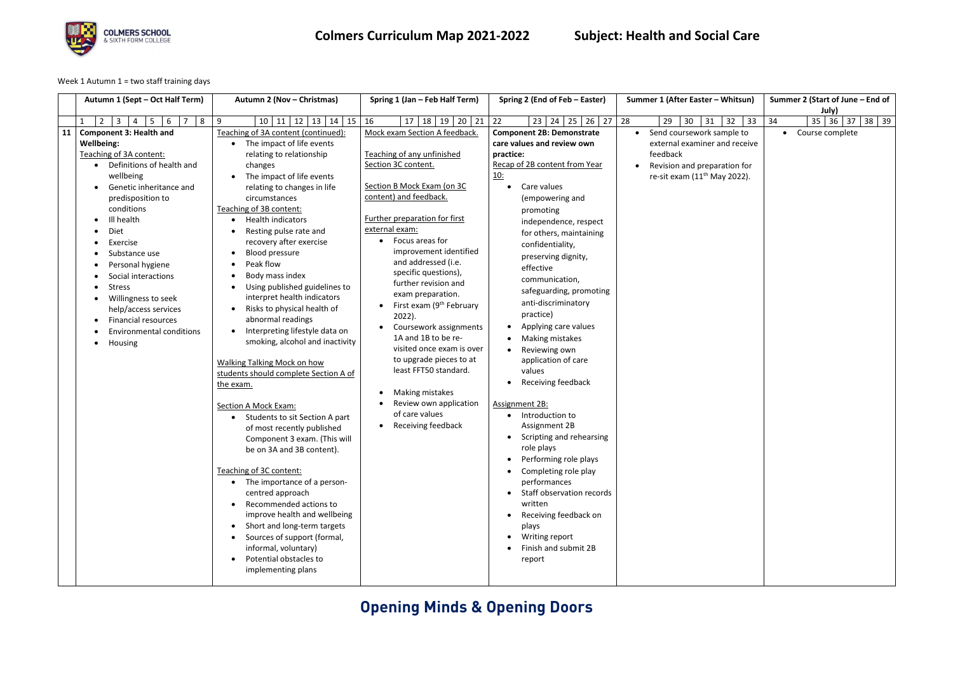## **Opening Minds & Opening Doors**



### **Colmers Curriculum Map 2021-2022 Subject: Health and Social Care**

Week 1 Autumn 1 = two staff training days

|    | Autumn 1 (Sept - Oct Half Term)                                          | Autumn 2 (Nov - Christmas)                                           | Spring 1 (Jan - Feb Half Term)                 | Spring 2 (End of Feb – Easter)              | Summer 1 (After Easter - Whitsun) | Summer 2 (Start of June - End of<br>July)  |
|----|--------------------------------------------------------------------------|----------------------------------------------------------------------|------------------------------------------------|---------------------------------------------|-----------------------------------|--------------------------------------------|
|    | $7 \quad 8$<br>$2^{\circ}$<br>$\overline{3}$<br>5 <sup>5</sup><br>6<br>4 | $10 \mid 11 \mid 12 \mid 13 \mid 14 \mid 15$<br>9                    | $17$   18  <br>$19$   20   21<br>16            | 26<br>$23 \mid 24 \mid 25 \mid$<br>22<br>27 | 28 <br>31<br>32<br>29<br>30<br>33 | $35 \mid 36 \mid 37 \mid$<br>$38$ 39<br>34 |
| 11 | <b>Component 3: Health and</b>                                           | Teaching of 3A content (continued):                                  | Mock exam Section A feedback.                  | <b>Component 2B: Demonstrate</b>            | Send coursework sample to         | • Course complete                          |
|    | <b>Wellbeing:</b>                                                        | The impact of life events                                            |                                                | care values and review own                  | external examiner and receive     |                                            |
|    | Teaching of 3A content:                                                  | relating to relationship                                             | Teaching of any unfinished                     | practice:                                   | feedback                          |                                            |
|    | • Definitions of health and                                              | changes                                                              | Section 3C content.                            | Recap of 2B content from Year               | Revision and preparation for      |                                            |
|    | wellbeing                                                                | The impact of life events                                            |                                                | <u> 10:</u>                                 | re-sit exam $(11th$ May 2022).    |                                            |
|    | Genetic inheritance and                                                  | relating to changes in life                                          | Section B Mock Exam (on 3C                     | Care values<br>$\bullet$                    |                                   |                                            |
|    | predisposition to                                                        | circumstances                                                        | content) and feedback.                         | (empowering and                             |                                   |                                            |
|    | conditions                                                               | Teaching of 3B content:                                              |                                                | promoting                                   |                                   |                                            |
|    | Ill health<br>$\bullet$                                                  | <b>Health indicators</b><br>$\bullet$                                | Further preparation for first                  | independence, respect                       |                                   |                                            |
|    | Diet                                                                     | Resting pulse rate and                                               | external exam:                                 | for others, maintaining                     |                                   |                                            |
|    | Exercise                                                                 | recovery after exercise                                              | Focus areas for                                | confidentiality,                            |                                   |                                            |
|    | Substance use                                                            | <b>Blood pressure</b>                                                | improvement identified                         | preserving dignity,                         |                                   |                                            |
|    | Personal hygiene                                                         | Peak flow                                                            | and addressed (i.e.                            | effective                                   |                                   |                                            |
|    | Social interactions                                                      | Body mass index                                                      | specific questions),                           | communication,                              |                                   |                                            |
|    | Stress                                                                   | Using published guidelines to                                        | further revision and                           | safeguarding, promoting                     |                                   |                                            |
|    | Willingness to seek                                                      | interpret health indicators                                          | exam preparation.                              | anti-discriminatory                         |                                   |                                            |
|    | help/access services                                                     | Risks to physical health of                                          | First exam (9 <sup>th</sup> February<br>2022). | practice)                                   |                                   |                                            |
|    | <b>Financial resources</b>                                               | abnormal readings                                                    | Coursework assignments                         | Applying care values                        |                                   |                                            |
|    | <b>Environmental conditions</b>                                          | Interpreting lifestyle data on<br>$\bullet$                          | 1A and 1B to be re-                            | • Making mistakes                           |                                   |                                            |
|    | Housing<br>$\bullet$                                                     | smoking, alcohol and inactivity                                      | visited once exam is over                      | Reviewing own<br>$\bullet$                  |                                   |                                            |
|    |                                                                          |                                                                      | to upgrade pieces to at                        | application of care                         |                                   |                                            |
|    |                                                                          | Walking Talking Mock on how<br>students should complete Section A of | least FFT50 standard.                          | values                                      |                                   |                                            |
|    |                                                                          | the exam.                                                            |                                                | Receiving feedback<br>$\bullet$             |                                   |                                            |
|    |                                                                          |                                                                      | Making mistakes<br>$\bullet$                   |                                             |                                   |                                            |
|    |                                                                          | Section A Mock Exam:                                                 | Review own application                         | Assignment 2B:                              |                                   |                                            |
|    |                                                                          | Students to sit Section A part                                       | of care values                                 | • Introduction to                           |                                   |                                            |
|    |                                                                          | of most recently published                                           | Receiving feedback                             | Assignment 2B                               |                                   |                                            |
|    |                                                                          | Component 3 exam. (This will                                         |                                                | Scripting and rehearsing                    |                                   |                                            |
|    |                                                                          | be on 3A and 3B content).                                            |                                                | role plays                                  |                                   |                                            |
|    |                                                                          |                                                                      |                                                | Performing role plays                       |                                   |                                            |
|    |                                                                          | Teaching of 3C content:                                              |                                                | Completing role play                        |                                   |                                            |
|    |                                                                          | • The importance of a person-                                        |                                                | performances                                |                                   |                                            |
|    |                                                                          | centred approach                                                     |                                                | Staff observation records                   |                                   |                                            |
|    |                                                                          | Recommended actions to                                               |                                                | written                                     |                                   |                                            |
|    |                                                                          | improve health and wellbeing                                         |                                                | Receiving feedback on                       |                                   |                                            |
|    |                                                                          | Short and long-term targets                                          |                                                | plays                                       |                                   |                                            |
|    |                                                                          | Sources of support (formal,                                          |                                                | Writing report                              |                                   |                                            |
|    |                                                                          | informal, voluntary)                                                 |                                                | Finish and submit 2B                        |                                   |                                            |
|    |                                                                          | Potential obstacles to                                               |                                                | report                                      |                                   |                                            |
|    |                                                                          | implementing plans                                                   |                                                |                                             |                                   |                                            |
|    |                                                                          |                                                                      |                                                |                                             |                                   |                                            |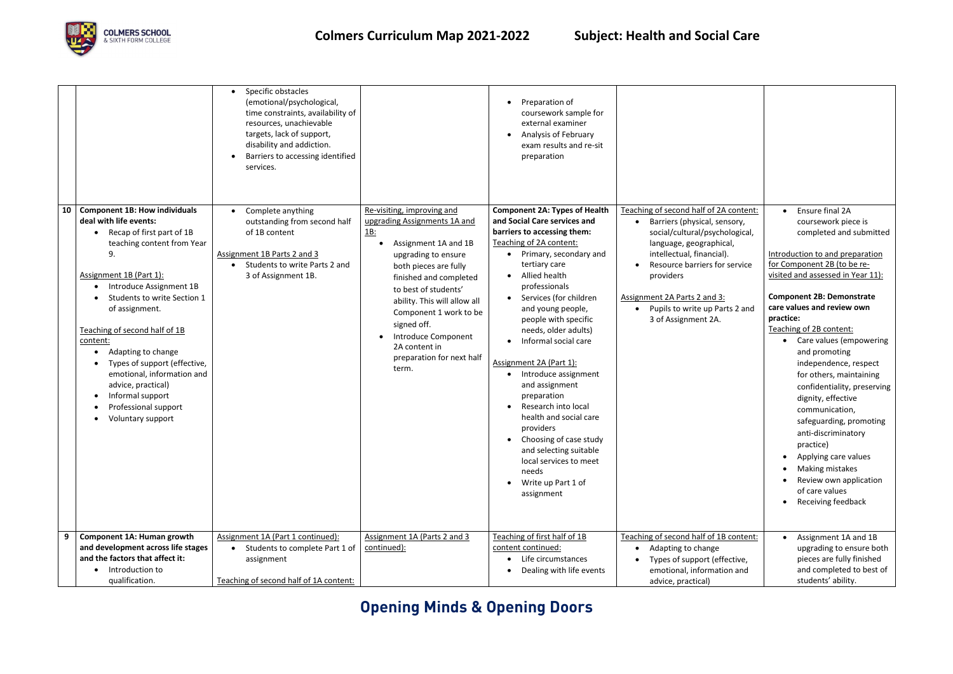## **Opening Minds & Opening Doors**



|    |                                                                                                                                                                                                                                                                                                                                                                                                                                                                | Specific obstacles<br>(emotional/psychological,<br>time constraints, availability of<br>resources, unachievable<br>targets, lack of support,<br>disability and addiction.<br>Barriers to accessing identified<br>services. |                                                                                                                                                                                                                                                                                                                                                                                                              | Preparation of<br>coursework sample for<br>external examiner<br><b>Analysis of February</b><br>$\bullet$<br>exam results and re-sit<br>preparation                                                                                                                                                                                                                                                                                                                                                                                                                                                                                                     |                                                                                                                                                                                                                                                                                                           |
|----|----------------------------------------------------------------------------------------------------------------------------------------------------------------------------------------------------------------------------------------------------------------------------------------------------------------------------------------------------------------------------------------------------------------------------------------------------------------|----------------------------------------------------------------------------------------------------------------------------------------------------------------------------------------------------------------------------|--------------------------------------------------------------------------------------------------------------------------------------------------------------------------------------------------------------------------------------------------------------------------------------------------------------------------------------------------------------------------------------------------------------|--------------------------------------------------------------------------------------------------------------------------------------------------------------------------------------------------------------------------------------------------------------------------------------------------------------------------------------------------------------------------------------------------------------------------------------------------------------------------------------------------------------------------------------------------------------------------------------------------------------------------------------------------------|-----------------------------------------------------------------------------------------------------------------------------------------------------------------------------------------------------------------------------------------------------------------------------------------------------------|
| 10 | <b>Component 1B: How individuals</b><br>deal with life events:<br>Recap of first part of 1B<br>teaching content from Year<br>9.<br>Assignment 1B (Part 1):<br>Introduce Assignment 1B<br>Students to write Section 1<br>of assignment.<br>Teaching of second half of 1B<br>content:<br>Adapting to change<br>Types of support (effective,<br>emotional, information and<br>advice, practical)<br>Informal support<br>Professional support<br>Voluntary support | Complete anything<br>outstanding from second half<br>of 1B content<br>Assignment 1B Parts 2 and 3<br>Students to write Parts 2 and<br>3 of Assignment 1B.                                                                  | Re-visiting, improving and<br>upgrading Assignments 1A and<br>$\underline{\mathbf{1}}\underline{\mathbf{B}}$ :<br>Assignment 1A and 1B<br>upgrading to ensure<br>both pieces are fully<br>finished and completed<br>to best of students'<br>ability. This will allow all<br>Component 1 work to be<br>signed off.<br>Introduce Component<br>$\bullet$<br>2A content in<br>preparation for next half<br>term. | <b>Component 2A: Types of Health</b><br>and Social Care services and<br>barriers to accessing them:<br>Teaching of 2A content:<br>Primary, secondary and<br>tertiary care<br>Allied health<br>professionals<br>Services (for children<br>$\bullet$<br>and young people,<br>people with specific<br>needs, older adults)<br>Informal social care<br>Assignment 2A (Part 1):<br>Introduce assignment<br>$\bullet$<br>and assignment<br>preparation<br>Research into local<br>$\bullet$<br>health and social care<br>providers<br>Choosing of case study<br>and selecting suitable<br>local services to meet<br>needs<br>Write up Part 1 of<br>assignment | Teaching of second half of 2A content:<br>Barriers (physical, sensory,<br>social/cultural/psychological,<br>language, geographical,<br>intellectual, financial).<br>Resource barriers for service<br>providers<br>Assignment 2A Parts 2 and 3:<br>• Pupils to write up Parts 2 and<br>3 of Assignment 2A. |
|    | <b>Component 1A: Human growth</b><br>and development across life stages                                                                                                                                                                                                                                                                                                                                                                                        | Assignment 1A (Part 1 continued):<br>Students to complete Part 1 of                                                                                                                                                        | Assignment 1A (Parts 2 and 3<br>continued):                                                                                                                                                                                                                                                                                                                                                                  | Teaching of first half of 1B<br>content continued:                                                                                                                                                                                                                                                                                                                                                                                                                                                                                                                                                                                                     | Teaching of second half of 1B content:<br>Adapting to change                                                                                                                                                                                                                                              |
|    | and the factors that affect it:                                                                                                                                                                                                                                                                                                                                                                                                                                | assignment                                                                                                                                                                                                                 |                                                                                                                                                                                                                                                                                                                                                                                                              | Life circumstances                                                                                                                                                                                                                                                                                                                                                                                                                                                                                                                                                                                                                                     | Types of support (effective,                                                                                                                                                                                                                                                                              |
|    | Introduction to<br>qualification.                                                                                                                                                                                                                                                                                                                                                                                                                              | Teaching of second half of 1A content:                                                                                                                                                                                     |                                                                                                                                                                                                                                                                                                                                                                                                              | Dealing with life events                                                                                                                                                                                                                                                                                                                                                                                                                                                                                                                                                                                                                               | emotional, information and<br>advice, practical)                                                                                                                                                                                                                                                          |

| <u>A content:</u><br>ensory,<br>hological,<br>ical,<br>ıl).<br>r service<br>}:<br>arts 2 and | Ensure final 2A<br>coursework piece is<br>completed and submitted<br>Introduction to and preparation<br>for Component 2B (to be re-<br>visited and assessed in Year 11):<br><b>Component 2B: Demonstrate</b><br>care values and review own<br>practice:<br>Teaching of 2B content:<br>Care values (empowering<br>and promoting<br>independence, respect<br>for others, maintaining<br>confidentiality, preserving<br>dignity, effective<br>communication,<br>safeguarding, promoting<br>anti-discriminatory<br>practice)<br>Applying care values<br>Making mistakes<br>Review own application<br>of care values<br>Receiving feedback |
|----------------------------------------------------------------------------------------------|---------------------------------------------------------------------------------------------------------------------------------------------------------------------------------------------------------------------------------------------------------------------------------------------------------------------------------------------------------------------------------------------------------------------------------------------------------------------------------------------------------------------------------------------------------------------------------------------------------------------------------------|
| B content:<br>fective,                                                                       | Assignment 1A and 1B<br>upgrading to ensure both<br>pieces are fully finished                                                                                                                                                                                                                                                                                                                                                                                                                                                                                                                                                         |
| ion and                                                                                      | and completed to best of<br>students' ability.                                                                                                                                                                                                                                                                                                                                                                                                                                                                                                                                                                                        |